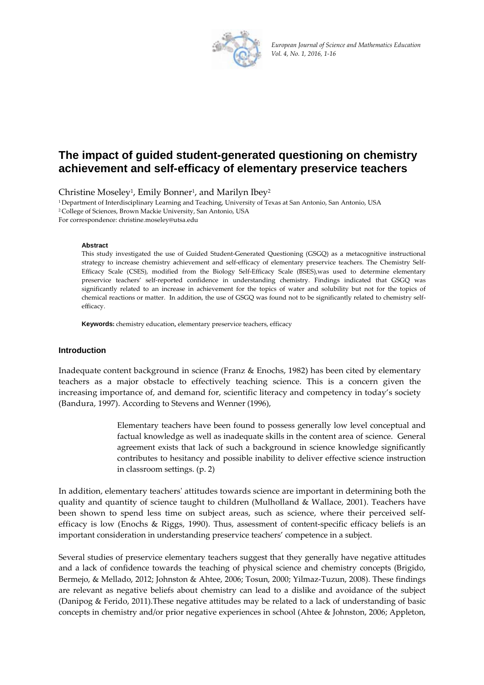

*European Jou urnal of Science a nd Mathematics Education Vol. 4, No. 1, 2016, 1‐16*

# The impact of guided student-generated questioning on chemistry achievement and self-efficacy of elementary preservice teachers

Christine Moseley<sup>1</sup>, Emily Bonner<sup>1</sup>, and Marilyn Ibey<sup>2</sup>

1 Department of Interdisciplinary Learning and Teaching, University of Texas at San Antonio, San Antonio, USA <sup>2</sup> College of Sciences, Brown Mackie University, San Antonio, USA For correspondence: christine.moseley@utsa.edu

**Ab bstract**

This study investigated the use of Guided Student-Generated Questioning (GSGQ) as a metacognitive instructional strategy to increase chemistry achievement and self-efficacy of elementary preservice teachers. The Chemistry Self-Efficacy Scale (CSES), modified from the Biology Self-Efficacy Scale (BSES),was used to determine elementary preservice teachers' self-reported confidence in understanding chemistry. Findings indicated that GSGQ was significantly related to an increase in achievement for the topics of water and solubility but not for the topics of chemical reactions or matter. In addition, the use of GSGQ was found not to be significantly related to chemistry selfeff ficacy.

Keywords: chemistry education, elementary preservice teachers, efficacy

#### **Introduction**

Inadequate content background in science (Franz & Enochs, 1982) has been cited by elementary teachers as a major obstacle to effectively teaching science. This is a concern given the increasing importance of, and demand for, scientific literacy and competency in today's society (Bandura, 1997). According to Stevens and Wenner (1996),

> Elementary teachers have been found to possess generally low level conceptual and factual knowledge as well as inadequate skills in the content area of science. General agreement exists that lack of such a background in science knowledge significantly contributes to hesitancy and possible inability to deliver effective science instruction in cl lassroom sett tings. (p. 2)

In addition, elementary teachers' attitudes towards science are important in determining both the quality and quantity of science taught to children (Mulholland & Wallace, 2001). Teachers have been shown to spend less time on subject areas, such as science, where their perceived selfefficacy is low (Enochs & Riggs, 1990). Thus, assessment of content-specific efficacy beliefs is an important consideration in understanding preservice teachers' competence in a subject.

Several studies of preservice elementary teachers suggest that they generally have negative attitudes and a lack of confidence towards the teaching of physical science and chemistry concepts (Brigido, Bermejo, & Mellado, 2012; Johnston & Ahtee, 2006; Tosun, 2000; Yilmaz-Tuzun, 2008). These findings are relevant as negative beliefs about chemistry can lead to a dislike and avoidance of the subject (Danipog & Ferido, 2011).These negative attitudes may be related to a lack of understanding of basic concepts in chemistry and/or prior negative experiences in school (Ahtee & Johnston, 2006; Appleton,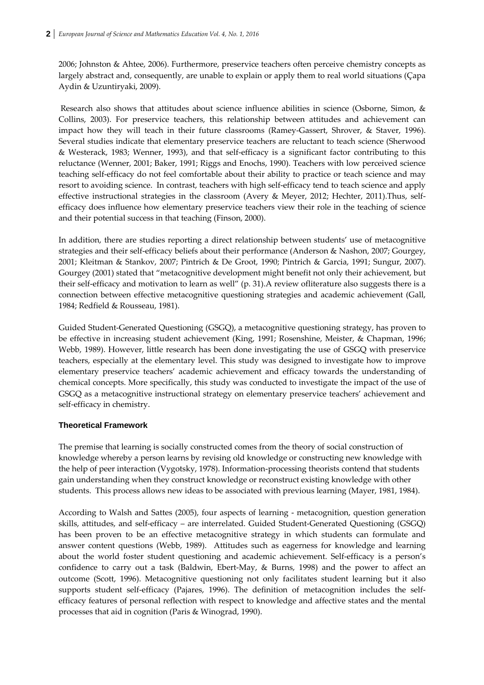2006; Johnston & Ahtee, 2006). Furthermore, preservice teachers often perceive chemistry concepts as largely abstract and, consequently, are unable to explain or apply them to real world situations (Çapa Aydin & Uzuntiryaki, 2009).

Research also shows that attitudes about science influence abilities in science (Osborne, Simon, & Collins, 2003). For preservice teachers, this relationship between attitudes and achievement can impact how they will teach in their future classrooms (Ramey‐Gassert, Shrover, & Staver, 1996). Several studies indicate that elementary preservice teachers are reluctant to teach science (Sherwood & Westerack, 1983; Wenner, 1993), and that self‐efficacy is a significant factor contributing to this reluctance (Wenner, 2001; Baker, 1991; Riggs and Enochs, 1990). Teachers with low perceived science teaching self‐efficacy do not feel comfortable about their ability to practice or teach science and may resort to avoiding science. In contrast, teachers with high self-efficacy tend to teach science and apply effective instructional strategies in the classroom (Avery & Meyer, 2012; Hechter, 2011).Thus, selfefficacy does influence how elementary preservice teachers view their role in the teaching of science and their potential success in that teaching (Finson, 2000).

In addition, there are studies reporting a direct relationship between students' use of metacognitive strategies and their self-efficacy beliefs about their performance (Anderson & Nashon, 2007; Gourgey, 2001; Kleitman & Stankov, 2007; Pintrich & De Groot, 1990; Pintrich & Garcia, 1991; Sungur, 2007). Gourgey (2001) stated that "metacognitive development might benefit not only their achievement, but their self-efficacy and motivation to learn as well" (p. 31). A review ofliterature also suggests there is a connection between effective metacognitive questioning strategies and academic achievement (Gall, 1984; Redfield & Rousseau, 1981).

Guided Student‐Generated Questioning (GSGQ), a metacognitive questioning strategy, has proven to be effective in increasing student achievement (King, 1991; Rosenshine, Meister, & Chapman, 1996; Webb, 1989). However, little research has been done investigating the use of GSGQ with preservice teachers, especially at the elementary level. This study was designed to investigate how to improve elementary preservice teachers' academic achievement and efficacy towards the understanding of chemical concepts. More specifically, this study was conducted to investigate the impact of the use of GSGQ as a metacognitive instructional strategy on elementary preservice teachers' achievement and self‐efficacy in chemistry.

# **Theoretical Framework**

The premise that learning is socially constructed comes from the theory of social construction of knowledge whereby a person learns by revising old knowledge or constructing new knowledge with the help of peer interaction (Vygotsky, 1978). Information‐processing theorists contend that students gain understanding when they construct knowledge or reconstruct existing knowledge with other students. This process allows new ideas to be associated with previous learning (Mayer, 1981, 1984).

According to Walsh and Sattes (2005), four aspects of learning - metacognition, question generation skills, attitudes, and self‐efficacy – are interrelated. Guided Student‐Generated Questioning (GSGQ) has been proven to be an effective metacognitive strategy in which students can formulate and answer content questions (Webb, 1989). Attitudes such as eagerness for knowledge and learning about the world foster student questioning and academic achievement. Self-efficacy is a person's confidence to carry out a task (Baldwin, Ebert‐May, & Burns, 1998) and the power to affect an outcome (Scott, 1996). Metacognitive questioning not only facilitates student learning but it also supports student self-efficacy (Pajares, 1996). The definition of metacognition includes the selfefficacy features of personal reflection with respect to knowledge and affective states and the mental processes that aid in cognition (Paris & Winograd, 1990).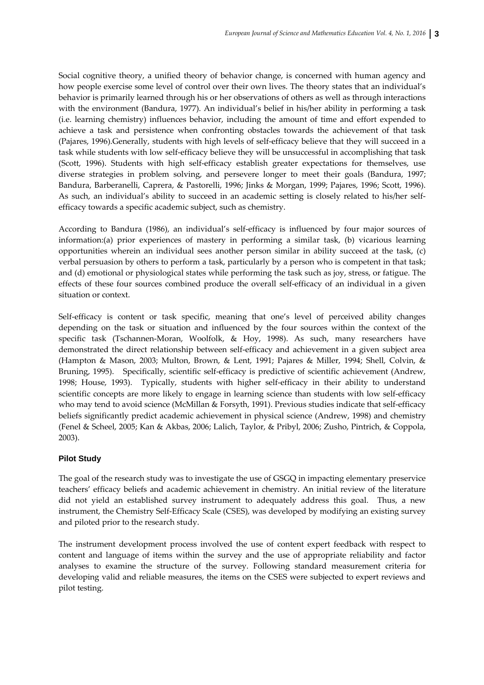Social cognitive theory, a unified theory of behavior change, is concerned with human agency and how people exercise some level of control over their own lives. The theory states that an individual's behavior is primarily learned through his or her observations of others as well as through interactions with the environment (Bandura, 1977). An individual's belief in his/her ability in performing a task (i.e. learning chemistry) influences behavior, including the amount of time and effort expended to achieve a task and persistence when confronting obstacles towards the achievement of that task (Pajares, 1996).Generally, students with high levels of self‐efficacy believe that they will succeed in a task while students with low self‐efficacy believe they will be unsuccessful in accomplishing that task (Scott, 1996). Students with high self-efficacy establish greater expectations for themselves, use diverse strategies in problem solving, and persevere longer to meet their goals (Bandura, 1997; Bandura, Barberanelli, Caprera, & Pastorelli, 1996; Jinks & Morgan, 1999; Pajares, 1996; Scott, 1996). As such, an individual's ability to succeed in an academic setting is closely related to his/her selfefficacy towards a specific academic subject, such as chemistry.

According to Bandura (1986), an individual's self‐efficacy is influenced by four major sources of information:(a) prior experiences of mastery in performing a similar task, (b) vicarious learning opportunities wherein an individual sees another person similar in ability succeed at the task, (c) verbal persuasion by others to perform a task, particularly by a person who is competent in that task; and (d) emotional or physiological states while performing the task such as joy, stress, or fatigue. The effects of these four sources combined produce the overall self-efficacy of an individual in a given situation or context.

Self-efficacy is content or task specific, meaning that one's level of perceived ability changes depending on the task or situation and influenced by the four sources within the context of the specific task (Tschannen‐Moran, Woolfolk, & Hoy, 1998). As such, many researchers have demonstrated the direct relationship between self‐efficacy and achievement in a given subject area (Hampton & Mason, 2003; Multon, Brown, & Lent, 1991; Pajares & Miller, 1994; Shell, Colvin, & Bruning, 1995). Specifically, scientific self-efficacy is predictive of scientific achievement (Andrew, 1998; House, 1993). Typically, students with higher self-efficacy in their ability to understand scientific concepts are more likely to engage in learning science than students with low self-efficacy who may tend to avoid science (McMillan & Forsyth, 1991). Previous studies indicate that self-efficacy beliefs significantly predict academic achievement in physical science (Andrew, 1998) and chemistry (Fenel & Scheel, 2005; Kan & Akbas, 2006; Lalich, Taylor, & Pribyl, 2006; Zusho, Pintrich, & Coppola, 2003).

# **Pilot Study**

The goal of the research study was to investigate the use of GSGQ in impacting elementary preservice teachers' efficacy beliefs and academic achievement in chemistry. An initial review of the literature did not yield an established survey instrument to adequately address this goal. Thus, a new instrument, the Chemistry Self‐Efficacy Scale (CSES), was developed by modifying an existing survey and piloted prior to the research study.

The instrument development process involved the use of content expert feedback with respect to content and language of items within the survey and the use of appropriate reliability and factor analyses to examine the structure of the survey. Following standard measurement criteria for developing valid and reliable measures, the items on the CSES were subjected to expert reviews and pilot testing.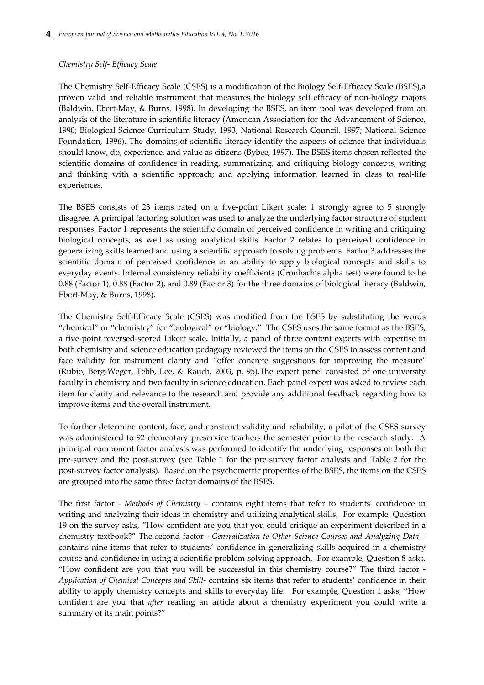#### *Chemistry Self‐ Efficacy Scale*

The Chemistry Self‐Efficacy Scale (CSES) is a modification of the Biology Self‐Efficacy Scale (BSES),a proven valid and reliable instrument that measures the biology self‐efficacy of non‐biology majors (Baldwin, Ebert‐May, & Burns, 1998). In developing the BSES, an item pool was developed from an analysis of the literature in scientific literacy (American Association for the Advancement of Science, 1990; Biological Science Curriculum Study, 1993; National Research Council, 1997; National Science Foundation, 1996). The domains of scientific literacy identify the aspects of science that individuals should know, do, experience, and value as citizens (Bybee, 1997). The BSES items chosen reflected the scientific domains of confidence in reading, summarizing, and critiquing biology concepts; writing and thinking with a scientific approach; and applying information learned in class to real-life experiences.

The BSES consists of 23 items rated on a five-point Likert scale: 1 strongly agree to 5 strongly disagree. A principal factoring solution was used to analyze the underlying factor structure of student responses. Factor 1 represents the scientific domain of perceived confidence in writing and critiquing biological concepts, as well as using analytical skills. Factor 2 relates to perceived confidence in generalizing skills learned and using a scientific approach to solving problems. Factor 3 addresses the scientific domain of perceived confidence in an ability to apply biological concepts and skills to everyday events. Internal consistency reliability coefficients (Cronbach's alpha test) were found to be 0.88 (Factor 1), 0.88 (Factor 2), and 0.89 (Factor 3) for the three domains of biological literacy (Baldwin, Ebert‐May, & Burns, 1998).

The Chemistry Self-Efficacy Scale (CSES) was modified from the BSES by substituting the words "chemical" or "chemistry" for "biological" or "biology." The CSES uses the same format as the BSES, a five‐point reversed‐scored Likert scale**.** Initially, a panel of three content experts with expertise in both chemistry and science education pedagogy reviewed the items on the CSES to assess content and face validity for instrument clarity and "offer concrete suggestions for improving the measure" (Rubio, Berg‐Weger, Tebb, Lee, & Rauch, 2003, p. 95).The expert panel consisted of one university faculty in chemistry and two faculty in science education. Each panel expert was asked to review each item for clarity and relevance to the research and provide any additional feedback regarding how to improve items and the overall instrument.

To further determine content, face, and construct validity and reliability, a pilot of the CSES survey was administered to 92 elementary preservice teachers the semester prior to the research study. A principal component factor analysis was performed to identify the underlying responses on both the pre‐survey and the post‐survey (see Table 1 for the pre‐survey factor analysis and Table 2 for the post‐survey factor analysis). Based on the psychometric properties of the BSES, the items on the CSES are grouped into the same three factor domains of the BSES.

The first factor ‐ *Methods of Chemistry* – contains eight items that refer to students' confidence in writing and analyzing their ideas in chemistry and utilizing analytical skills. For example, Question 19 on the survey asks, "How confident are you that you could critique an experiment described in a chemistry textbook?" The second factor ‐ *Generalization to Other Science Courses and Analyzing Data* – contains nine items that refer to students' confidence in generalizing skills acquired in a chemistry course and confidence in using a scientific problem‐solving approach. For example, Question 8 asks, "How confident are you that you will be successful in this chemistry course?" The third factor ‐ *Application of Chemical Concepts and Skill‐* contains six items that refer to students' confidence in their ability to apply chemistry concepts and skills to everyday life. For example, Question 1 asks, "How confident are you that *after* reading an article about a chemistry experiment you could write a summary of its main points?"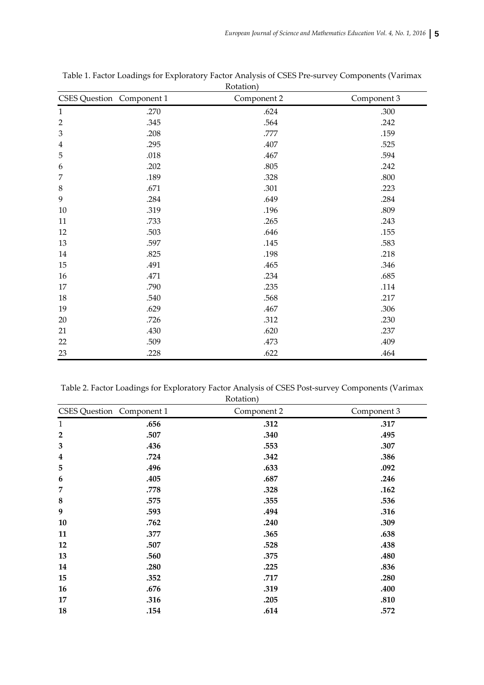|                | <b>CSES Question</b> Component 1 | <i>K</i> ULALIOII <sub>I</sub><br>Component 2 | Component 3 |
|----------------|----------------------------------|-----------------------------------------------|-------------|
| $\mathbf{1}$   | .270                             | .624                                          | .300        |
| $\overline{2}$ | .345                             | .564                                          | .242        |
| $\mathfrak 3$  | .208                             | .777                                          | .159        |
| $\overline{4}$ | .295                             | .407                                          | .525        |
| 5              | .018                             | .467                                          | .594        |
| 6              | .202                             | .805                                          | .242        |
| 7              | .189                             | .328                                          | .800        |
| $\,8\,$        | .671                             | .301                                          | .223        |
| 9              | .284                             | .649                                          | .284        |
| $10\,$         | .319                             | .196                                          | .809        |
| 11             | .733                             | .265                                          | .243        |
| 12             | .503                             | .646                                          | .155        |
| 13             | .597                             | .145                                          | .583        |
| 14             | .825                             | .198                                          | .218        |
| 15             | .491                             | .465                                          | .346        |
| 16             | .471                             | .234                                          | .685        |
| 17             | .790                             | .235                                          | .114        |
| 18             | .540                             | .568                                          | .217        |
| 19             | .629                             | .467                                          | .306        |
| 20             | .726                             | .312                                          | .230        |
| 21             | .430                             | .620                                          | .237        |
| 22             | .509                             | .473                                          | .409        |
| 23             | .228                             | .622                                          | .464        |

Table 1. Factor Loadings for Exploratory Factor Analysis of CSES Pre‐survey Components (Varimax Rotation)

Table 2. Factor Loadings for Exploratory Factor Analysis of CSES Post‐survey Components (Varimax Rotation)

| CSES Question Component 1 |      | Component 2 | Component 3 |
|---------------------------|------|-------------|-------------|
| $\mathbf{1}$              | .656 | .312        | .317        |
| $\overline{2}$            | .507 | .340        | .495        |
| $\mathbf{3}$              | .436 | .553        | .307        |
| $\overline{\mathbf{4}}$   | .724 | .342        | .386        |
| 5                         | .496 | .633        | .092        |
| 6                         | .405 | .687        | .246        |
| $\overline{7}$            | .778 | .328        | .162        |
| $\bf 8$                   | .575 | .355        | .536        |
| $\boldsymbol{9}$          | .593 | .494        | .316        |
| 10                        | .762 | .240        | .309        |
| 11                        | .377 | .365        | .638        |
| 12                        | .507 | .528        | .438        |
| 13                        | .560 | .375        | .480        |
| 14                        | .280 | .225        | .836        |
| 15                        | .352 | .717        | .280        |
| 16                        | .676 | .319        | .400        |
| 17                        | .316 | .205        | .810        |
| 18                        | .154 | .614        | .572        |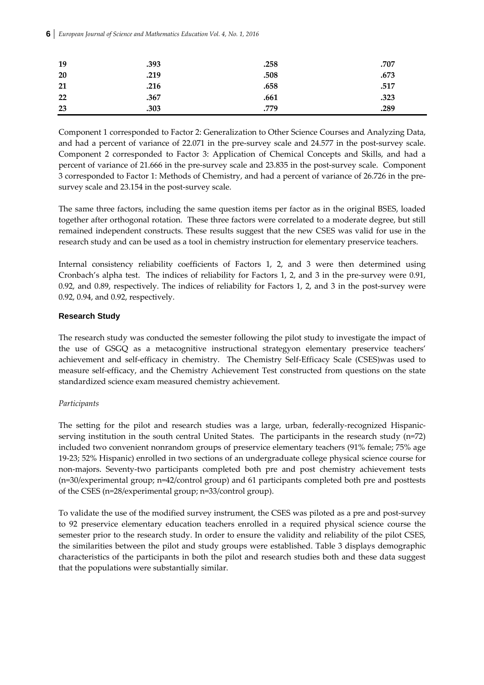| 19 | .393 | .258 | .707 |
|----|------|------|------|
| 20 | .219 | .508 | .673 |
| 21 | .216 | .658 | .517 |
| 22 | .367 | .661 | .323 |
| 23 | .303 | .779 | .289 |

Component 1 corresponded to Factor 2: Generalization to Other Science Courses and Analyzing Data, and had a percent of variance of 22.071 in the pre-survey scale and 24.577 in the post-survey scale. Component 2 corresponded to Factor 3: Application of Chemical Concepts and Skills, and had a percent of variance of 21.666 in the pre-survey scale and 23.835 in the post-survey scale. Component 3 corresponded to Factor 1: Methods of Chemistry, and had a percent of variance of 26.726 in the pre‐ survey scale and 23.154 in the post-survey scale.

The same three factors, including the same question items per factor as in the original BSES, loaded together after orthogonal rotation. These three factors were correlated to a moderate degree, but still remained independent constructs. These results suggest that the new CSES was valid for use in the research study and can be used as a tool in chemistry instruction for elementary preservice teachers.

Internal consistency reliability coefficients of Factors 1, 2, and 3 were then determined using Cronbach's alpha test. The indices of reliability for Factors 1, 2, and 3 in the pre‐survey were 0.91, 0.92, and 0.89, respectively. The indices of reliability for Factors 1, 2, and 3 in the post-survey were 0.92, 0.94, and 0.92, respectively.

# **Research Study**

The research study was conducted the semester following the pilot study to investigate the impact of the use of GSGQ as a metacognitive instructional strategyon elementary preservice teachers' achievement and self-efficacy in chemistry. The Chemistry Self-Efficacy Scale (CSES)was used to measure self‐efficacy, and the Chemistry Achievement Test constructed from questions on the state standardized science exam measured chemistry achievement.

# *Participants*

The setting for the pilot and research studies was a large, urban, federally-recognized Hispanicserving institution in the south central United States. The participants in the research study (n=72) included two convenient nonrandom groups of preservice elementary teachers (91% female; 75% age 19‐23; 52% Hispanic) enrolled in two sections of an undergraduate college physical science course for non‐majors. Seventy‐two participants completed both pre and post chemistry achievement tests (n=30/experimental group; n=42/control group) and 61 participants completed both pre and posttests of the CSES (n=28/experimental group; n=33/control group).

To validate the use of the modified survey instrument, the CSES was piloted as a pre and post-survey to 92 preservice elementary education teachers enrolled in a required physical science course the semester prior to the research study. In order to ensure the validity and reliability of the pilot CSES, the similarities between the pilot and study groups were established. Table 3 displays demographic characteristics of the participants in both the pilot and research studies both and these data suggest that the populations were substantially similar.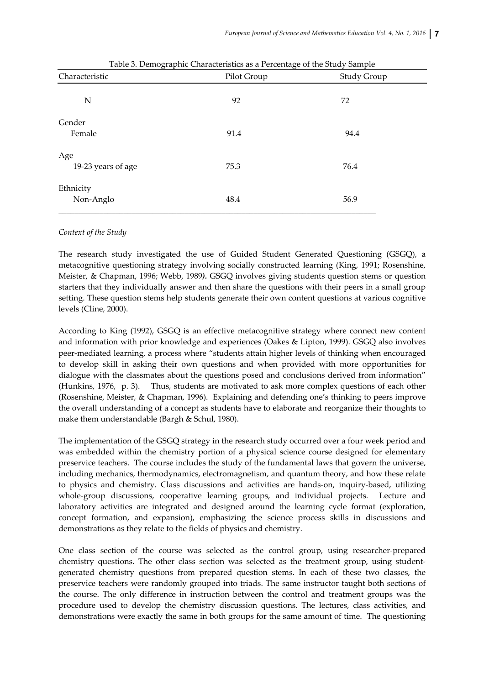| Pilot Group | <b>Study Group</b> |  |  |
|-------------|--------------------|--|--|
|             | 72                 |  |  |
|             |                    |  |  |
|             |                    |  |  |
| 91.4        | 94.4               |  |  |
|             |                    |  |  |
| 75.3        | 76.4               |  |  |
|             |                    |  |  |
| 48.4        | 56.9               |  |  |
|             | 92                 |  |  |

Table 3. Demographic Characteristics as a Percentage of the Study Sample

#### *Context of the Study*

The research study investigated the use of Guided Student Generated Questioning (GSGQ), a metacognitive questioning strategy involving socially constructed learning (King, 1991; Rosenshine, Meister, & Chapman, 1996; Webb, 1989*).* GSGQ involves giving students question stems or question starters that they individually answer and then share the questions with their peers in a small group setting. These question stems help students generate their own content questions at various cognitive levels (Cline, 2000).

According to King (1992), GSGQ is an effective metacognitive strategy where connect new content and information with prior knowledge and experiences (Oakes & Lipton, 1999). GSGQ also involves peer-mediated learning, a process where "students attain higher levels of thinking when encouraged to develop skill in asking their own questions and when provided with more opportunities for dialogue with the classmates about the questions posed and conclusions derived from information" (Hunkins, 1976, p. 3). Thus, students are motivated to ask more complex questions of each other (Rosenshine, Meister, & Chapman, 1996). Explaining and defending one's thinking to peers improve the overall understanding of a concept as students have to elaborate and reorganize their thoughts to make them understandable (Bargh & Schul, 1980).

The implementation of the GSGQ strategy in the research study occurred over a four week period and was embedded within the chemistry portion of a physical science course designed for elementary preservice teachers. The course includes the study of the fundamental laws that govern the universe, including mechanics, thermodynamics, electromagnetism, and quantum theory, and how these relate to physics and chemistry. Class discussions and activities are hands‐on, inquiry‐based, utilizing whole-group discussions, cooperative learning groups, and individual projects. Lecture and laboratory activities are integrated and designed around the learning cycle format (exploration, concept formation, and expansion), emphasizing the science process skills in discussions and demonstrations as they relate to the fields of physics and chemistry.

One class section of the course was selected as the control group, using researcher‐prepared chemistry questions. The other class section was selected as the treatment group, using studentgenerated chemistry questions from prepared question stems. In each of these two classes, the preservice teachers were randomly grouped into triads. The same instructor taught both sections of the course. The only difference in instruction between the control and treatment groups was the procedure used to develop the chemistry discussion questions. The lectures, class activities, and demonstrations were exactly the same in both groups for the same amount of time. The questioning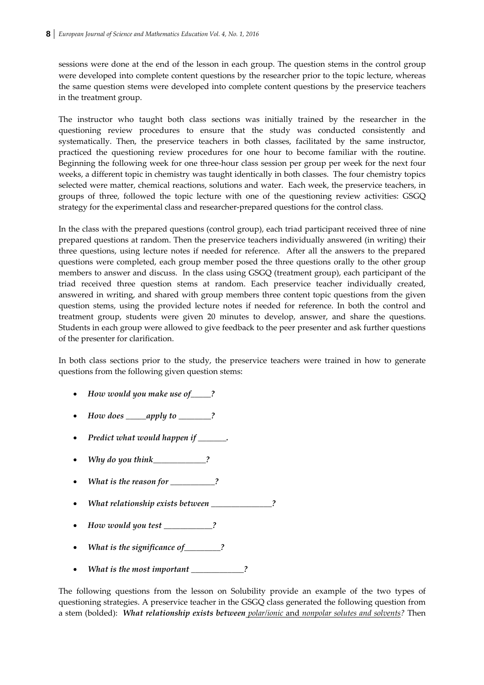sessions were done at the end of the lesson in each group. The question stems in the control group were developed into complete content questions by the researcher prior to the topic lecture, whereas the same question stems were developed into complete content questions by the preservice teachers in the treatment group.

The instructor who taught both class sections was initially trained by the researcher in the questioning review procedures to ensure that the study was conducted consistently and systematically. Then, the preservice teachers in both classes, facilitated by the same instructor, practiced the questioning review procedures for one hour to become familiar with the routine. Beginning the following week for one three‐hour class session per group per week for the next four weeks, a different topic in chemistry was taught identically in both classes. The four chemistry topics selected were matter, chemical reactions, solutions and water. Each week, the preservice teachers, in groups of three, followed the topic lecture with one of the questioning review activities: GSGQ strategy for the experimental class and researcher‐prepared questions for the control class.

In the class with the prepared questions (control group), each triad participant received three of nine prepared questions at random. Then the preservice teachers individually answered (in writing) their three questions, using lecture notes if needed for reference. After all the answers to the prepared questions were completed, each group member posed the three questions orally to the other group members to answer and discuss. In the class using GSGQ (treatment group), each participant of the triad received three question stems at random. Each preservice teacher individually created, answered in writing, and shared with group members three content topic questions from the given question stems, using the provided lecture notes if needed for reference. In both the control and treatment group, students were given 20 minutes to develop, answer, and share the questions. Students in each group were allowed to give feedback to the peer presenter and ask further questions of the presenter for clarification.

In both class sections prior to the study, the preservice teachers were trained in how to generate questions from the following given question stems:

- *How would you make use of\_\_\_\_\_?*
- *How does \_\_\_\_\_apply to \_\_\_\_\_\_\_\_?*
- *Predict what would happen if \_\_\_\_\_\_\_.*
- *Why do you think\_\_\_\_\_\_\_\_\_\_\_\_\_?*
- *What is the reason for* \_\_\_\_\_\_\_\_\_?
- *What relationship exists between \_\_\_\_\_\_\_\_\_\_\_\_\_\_\_?*
- *How would you test \_\_\_\_\_\_\_\_\_\_\_\_?*
- *What is the significance of\_\_\_\_\_\_\_\_\_?*
- *What is the most important \_\_\_\_\_\_\_\_\_\_\_\_\_?*

The following questions from the lesson on Solubility provide an example of the two types of questioning strategies. A preservice teacher in the GSGQ class generated the following question from a stem (bolded): *What relationship exists between polar/ionic* and *nonpolar solutes and solvents?* Then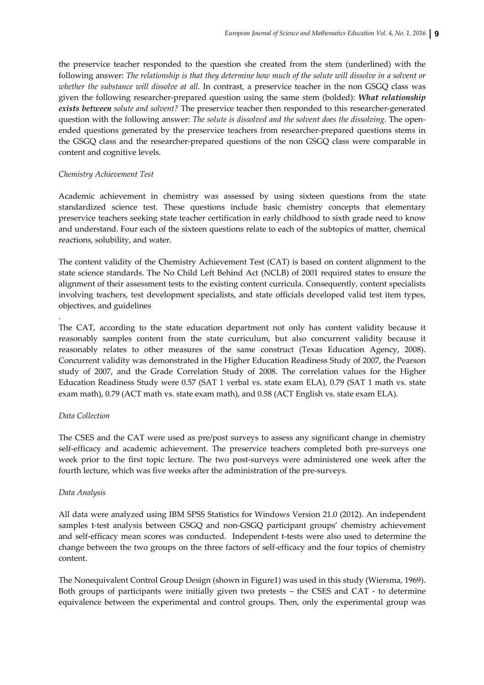the preservice teacher responded to the question she created from the stem (underlined) with the following answer: The relationship is that they determine how much of the solute will dissolve in a solvent or *whether the substance will dissolve at all.* In contrast, a preservice teacher in the non GSGQ class was given the following researcher‐prepared question using the same stem (bolded): *What relationship exists between solute and solvent?* The preservice teacher then responded to this researcher‐generated question with the following answer: *The solute is dissolved and the solvent does the dissolving.* The open‐ ended questions generated by the preservice teachers from researcher-prepared questions stems in the GSGQ class and the researcher‐prepared questions of the non GSGQ class were comparable in content and cognitive levels.

#### *Chemistry Achievement Test*

Academic achievement in chemistry was assessed by using sixteen questions from the state standardized science test. These questions include basic chemistry concepts that elementary preservice teachers seeking state teacher certification in early childhood to sixth grade need to know and understand. Four each of the sixteen questions relate to each of the subtopics of matter, chemical reactions, solubility, and water.

The content validity of the Chemistry Achievement Test (CAT) is based on content alignment to the state science standards. The No Child Left Behind Act (NCLB) of 2001 required states to ensure the alignment of their assessment tests to the existing content curricula. Consequently, content specialists involving teachers, test development specialists, and state officials developed valid test item types, objectives, and guidelines

The CAT, according to the state education department not only has content validity because it reasonably samples content from the state curriculum, but also concurrent validity because it reasonably relates to other measures of the same construct (Texas Education Agency, 2008). Concurrent validity was demonstrated in the Higher Education Readiness Study of 2007, the Pearson study of 2007, and the Grade Correlation Study of 2008. The correlation values for the Higher Education Readiness Study were 0.57 (SAT 1 verbal vs. state exam ELA), 0.79 (SAT 1 math vs. state exam math), 0.79 (ACT math vs. state exam math), and 0.58 (ACT English vs. state exam ELA).

#### *Data Collection*

.

The CSES and the CAT were used as pre/post surveys to assess any significant change in chemistry self-efficacy and academic achievement. The preservice teachers completed both pre-surveys one week prior to the first topic lecture. The two post-surveys were administered one week after the fourth lecture, which was five weeks after the administration of the pre-surveys.

#### *Data Analysis*

All data were analyzed using IBM SPSS Statistics for Windows Version 21.0 (2012). An independent samples t-test analysis between GSGQ and non-GSGQ participant groups' chemistry achievement and self-efficacy mean scores was conducted. Independent t-tests were also used to determine the change between the two groups on the three factors of self-efficacy and the four topics of chemistry content.

The Nonequivalent Control Group Design (shown in Figure1) was used in this study (Wiersma, 1969). Both groups of participants were initially given two pretests – the CSES and CAT - to determine equivalence between the experimental and control groups. Then, only the experimental group was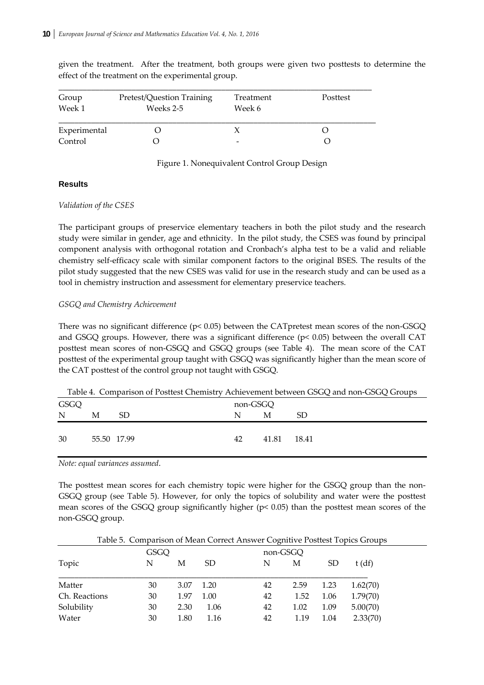given the treatment. After the treatment, both groups were given two posttests to determine the effect of the treatment on the experimental group.

| Group<br>Week 1 | Pretest/Question Training<br>Weeks 2-5 | Treatment<br>Week 6 | Posttest |
|-----------------|----------------------------------------|---------------------|----------|
| Experimental    |                                        |                     |          |
| Control         |                                        |                     |          |

# Figure 1. Nonequivalent Control Group Design

## **Results**

## *Validation of the CSES*

The participant groups of preservice elementary teachers in both the pilot study and the research study were similar in gender, age and ethnicity. In the pilot study, the CSES was found by principal component analysis with orthogonal rotation and Cronbach's alpha test to be a valid and reliable chemistry self‐efficacy scale with similar component factors to the original BSES. The results of the pilot study suggested that the new CSES was valid for use in the research study and can be used as a tool in chemistry instruction and assessment for elementary preservice teachers.

## *GSGQ and Chemistry Achievement*

There was no significant difference ( $p$ < 0.05) between the CATpretest mean scores of the non-GSGQ and GSGQ groups. However, there was a significant difference  $(p< 0.05)$  between the overall CAT posttest mean scores of non-GSGQ and GSGQ groups (see Table 4). The mean score of the CAT posttest of the experimental group taught with GSGQ was significantly higher than the mean score of the CAT posttest of the control group not taught with GSGQ.

|      |             |    |          |       | Table 4. Comparison of Postlest Chemistry Achievement between GSGO and non-GSGO Groups |
|------|-------------|----|----------|-------|----------------------------------------------------------------------------------------|
| GSGQ |             |    | non-GSGO |       |                                                                                        |
| N    | М           | SD | N        | М     | SD                                                                                     |
| 30   | 55.50 17.99 |    | 42       | 41.81 | 18.41                                                                                  |
|      |             |    |          |       |                                                                                        |

Table 4. Comparison of Posttest Chemistry Achievement between GSGQ and non‐GSGQ Groups

*Note: equal variances assumed*.

The posttest mean scores for each chemistry topic were higher for the GSGQ group than the non-GSGQ group (see Table 5). However, for only the topics of solubility and water were the posttest mean scores of the GSGQ group significantly higher (p< 0.05) than the posttest mean scores of the non‐GSGQ group.

Table 5. Comparison of Mean Correct Answer Cognitive Posttest Topics Groups

|               | GSGQ |      |               |    | non-GSGQ |           |          |
|---------------|------|------|---------------|----|----------|-----------|----------|
| Topic         | N    | М    | <sub>SD</sub> | N  | М        | <b>SD</b> | $t$ (df) |
| Matter        | 30   | 3.07 | 1.20          | 42 | 2.59     | 1.23      | 1.62(70) |
| Ch. Reactions | 30   | 1.97 | 1.00          | 42 | 1.52     | 1.06      | 1.79(70) |
| Solubility    | 30   | 2.30 | 1.06          | 42 | 1.02     | 1.09      | 5.00(70) |
| Water         | 30   | 1.80 | 1.16          | 42 | 1.19     | 1.04      | 2.33(70) |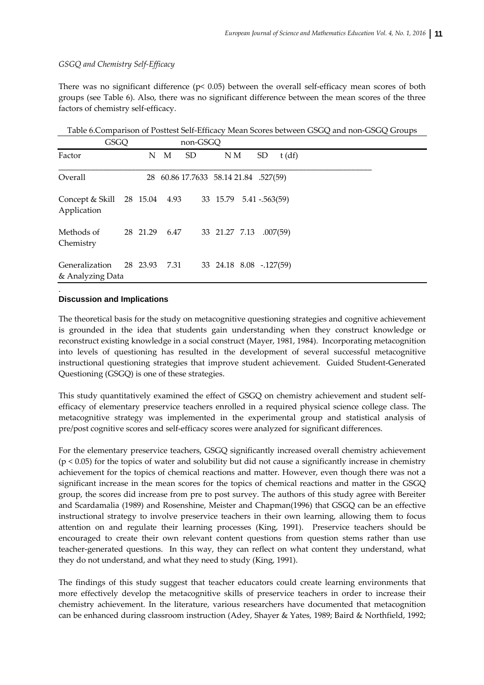# *GSGQ and Chemistry Self‐Efficacy*

There was no significant difference ( $p < 0.05$ ) between the overall self-efficacy mean scores of both groups (see Table 6). Also, there was no significant difference between the mean scores of the three factors of chemistry self‐efficacy.

Table 6.Comparison of Posttest Self‐Efficacy Mean Scores between GSGQ and non‐GSGQ Groups

|                                                                      | GSGQ |          |   | non-GSGQ                              |                         |           |          |  |  |
|----------------------------------------------------------------------|------|----------|---|---------------------------------------|-------------------------|-----------|----------|--|--|
| Factor                                                               |      | N        | M | <b>SD</b>                             | N M                     | <b>SD</b> | t(df)    |  |  |
| Overall                                                              |      |          |   | 28 60.86 17.7633 58.14 21.84 .527(59) |                         |           |          |  |  |
| Concept & Skill 28 15.04 4.93 33 15.79 5.41 - 563(59)<br>Application |      |          |   |                                       |                         |           |          |  |  |
| Methods of<br>Chemistry                                              |      | 28 21.29 |   | 6.47 33 21.27 7.13                    |                         |           | .007(59) |  |  |
| Generalization 28 23.93 7.31<br>& Analyzing Data                     |      |          |   |                                       | 33 24.18 8.08 -.127(59) |           |          |  |  |

## **Discussion and Implications**

.

The theoretical basis for the study on metacognitive questioning strategies and cognitive achievement is grounded in the idea that students gain understanding when they construct knowledge or reconstruct existing knowledge in a social construct (Mayer, 1981, 1984). Incorporating metacognition into levels of questioning has resulted in the development of several successful metacognitive instructional questioning strategies that improve student achievement. Guided Student‐Generated Questioning (GSGQ) is one of these strategies.

This study quantitatively examined the effect of GSGQ on chemistry achievement and student selfefficacy of elementary preservice teachers enrolled in a required physical science college class. The metacognitive strategy was implemented in the experimental group and statistical analysis of pre/post cognitive scores and self‐efficacy scores were analyzed for significant differences.

For the elementary preservice teachers, GSGQ significantly increased overall chemistry achievement  $(p < 0.05)$  for the topics of water and solubility but did not cause a significantly increase in chemistry achievement for the topics of chemical reactions and matter. However, even though there was not a significant increase in the mean scores for the topics of chemical reactions and matter in the GSGQ group, the scores did increase from pre to post survey. The authors of this study agree with Bereiter and Scardamalia (1989) and Rosenshine, Meister and Chapman(1996) that GSGQ can be an effective instructional strategy to involve preservice teachers in their own learning, allowing them to focus attention on and regulate their learning processes (King, 1991). Preservice teachers should be encouraged to create their own relevant content questions from question stems rather than use teacher-generated questions. In this way, they can reflect on what content they understand, what they do not understand, and what they need to study (King, 1991).

The findings of this study suggest that teacher educators could create learning environments that more effectively develop the metacognitive skills of preservice teachers in order to increase their chemistry achievement. In the literature, various researchers have documented that metacognition can be enhanced during classroom instruction (Adey, Shayer & Yates, 1989; Baird & Northfield, 1992;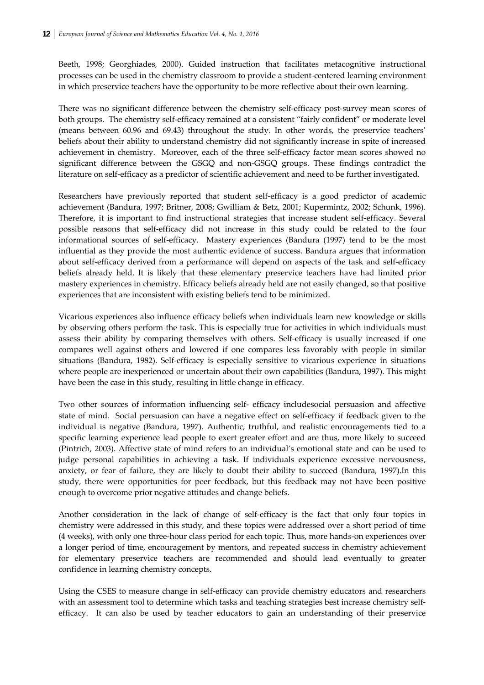Beeth, 1998; Georghiades, 2000). Guided instruction that facilitates metacognitive instructional processes can be used in the chemistry classroom to provide a student‐centered learning environment in which preservice teachers have the opportunity to be more reflective about their own learning.

There was no significant difference between the chemistry self-efficacy post-survey mean scores of both groups. The chemistry self-efficacy remained at a consistent "fairly confident" or moderate level (means between 60.96 and 69.43) throughout the study. In other words, the preservice teachers' beliefs about their ability to understand chemistry did not significantly increase in spite of increased achievement in chemistry. Moreover, each of the three self‐efficacy factor mean scores showed no significant difference between the GSGQ and non-GSGQ groups. These findings contradict the literature on self-efficacy as a predictor of scientific achievement and need to be further investigated.

Researchers have previously reported that student self-efficacy is a good predictor of academic achievement (Bandura, 1997; Britner, 2008; Gwilliam & Betz, 2001; Kupermintz, 2002; Schunk, 1996). Therefore, it is important to find instructional strategies that increase student self‐efficacy. Several possible reasons that self‐efficacy did not increase in this study could be related to the four informational sources of self-efficacy. Mastery experiences (Bandura (1997) tend to be the most influential as they provide the most authentic evidence of success. Bandura argues that information about self‐efficacy derived from a performance will depend on aspects of the task and self‐efficacy beliefs already held. It is likely that these elementary preservice teachers have had limited prior mastery experiences in chemistry. Efficacy beliefs already held are not easily changed, so that positive experiences that are inconsistent with existing beliefs tend to be minimized.

Vicarious experiences also influence efficacy beliefs when individuals learn new knowledge or skills by observing others perform the task. This is especially true for activities in which individuals must assess their ability by comparing themselves with others. Self‐efficacy is usually increased if one compares well against others and lowered if one compares less favorably with people in similar situations (Bandura, 1982). Self‐efficacy is especially sensitive to vicarious experience in situations where people are inexperienced or uncertain about their own capabilities (Bandura, 1997). This might have been the case in this study, resulting in little change in efficacy.

Two other sources of information influencing self‐ efficacy includesocial persuasion and affective state of mind. Social persuasion can have a negative effect on self‐efficacy if feedback given to the individual is negative (Bandura, 1997). Authentic, truthful, and realistic encouragements tied to a specific learning experience lead people to exert greater effort and are thus, more likely to succeed (Pintrich, 2003). Affective state of mind refers to an individual's emotional state and can be used to judge personal capabilities in achieving a task. If individuals experience excessive nervousness, anxiety, or fear of failure, they are likely to doubt their ability to succeed (Bandura, 1997).In this study, there were opportunities for peer feedback, but this feedback may not have been positive enough to overcome prior negative attitudes and change beliefs.

Another consideration in the lack of change of self-efficacy is the fact that only four topics in chemistry were addressed in this study, and these topics were addressed over a short period of time (4 weeks), with only one three‐hour class period for each topic. Thus, more hands‐on experiences over a longer period of time, encouragement by mentors, and repeated success in chemistry achievement for elementary preservice teachers are recommended and should lead eventually to greater confidence in learning chemistry concepts.

Using the CSES to measure change in self‐efficacy can provide chemistry educators and researchers with an assessment tool to determine which tasks and teaching strategies best increase chemistry selfefficacy. It can also be used by teacher educators to gain an understanding of their preservice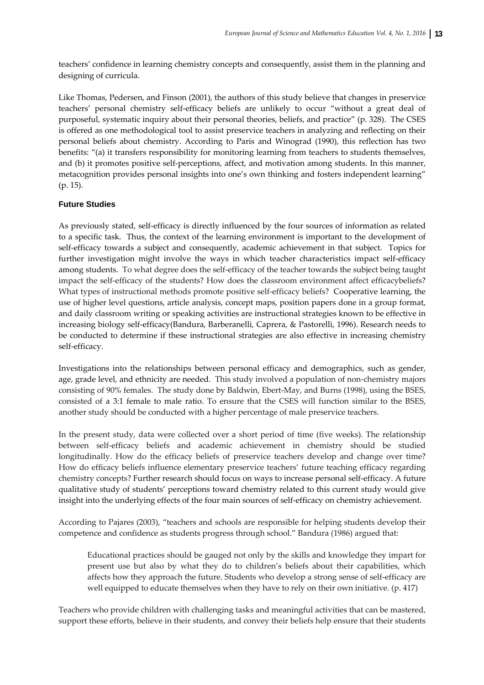teachers' confidence in learning chemistry concepts and consequently, assist them in the planning and designing of curricula.

Like Thomas, Pedersen, and Finson (2001), the authors of this study believe that changes in preservice teachers' personal chemistry self‐efficacy beliefs are unlikely to occur "without a great deal of purposeful, systematic inquiry about their personal theories, beliefs, and practice" (p. 328). The CSES is offered as one methodological tool to assist preservice teachers in analyzing and reflecting on their personal beliefs about chemistry. According to Paris and Winograd (1990), this reflection has two benefits: "(a) it transfers responsibility for monitoring learning from teachers to students themselves, and (b) it promotes positive self-perceptions, affect, and motivation among students. In this manner, metacognition provides personal insights into one's own thinking and fosters independent learning" (p. 15).

# **Future Studies**

As previously stated, self-efficacy is directly influenced by the four sources of information as related to a specific task. Thus, the context of the learning environment is important to the development of self-efficacy towards a subject and consequently, academic achievement in that subject. Topics for further investigation might involve the ways in which teacher characteristics impact self‐efficacy among students. To what degree does the self‐efficacy of the teacher towards the subject being taught impact the self‐efficacy of the students? How does the classroom environment affect efficacybeliefs? What types of instructional methods promote positive self-efficacy beliefs? Cooperative learning, the use of higher level questions, article analysis, concept maps, position papers done in a group format, and daily classroom writing or speaking activities are instructional strategies known to be effective in increasing biology self‐efficacy(Bandura, Barberanelli, Caprera, & Pastorelli, 1996). Research needs to be conducted to determine if these instructional strategies are also effective in increasing chemistry self‐efficacy.

Investigations into the relationships between personal efficacy and demographics, such as gender, age, grade level, and ethnicity are needed. This study involved a population of non-chemistry majors consisting of 90% females. The study done by Baldwin, Ebert‐May, and Burns (1998), using the BSES, consisted of a 3:1 female to male ratio. To ensure that the CSES will function similar to the BSES, another study should be conducted with a higher percentage of male preservice teachers.

In the present study, data were collected over a short period of time (five weeks). The relationship between self‐efficacy beliefs and academic achievement in chemistry should be studied longitudinally. How do the efficacy beliefs of preservice teachers develop and change over time? How do efficacy beliefs influence elementary preservice teachers' future teaching efficacy regarding chemistry concepts? Further research should focus on ways to increase personal self‐efficacy. A future qualitative study of students' perceptions toward chemistry related to this current study would give insight into the underlying effects of the four main sources of self‐efficacy on chemistry achievement.

According to Pajares (2003), "teachers and schools are responsible for helping students develop their competence and confidence as students progress through school." Bandura (1986) argued that:

Educational practices should be gauged not only by the skills and knowledge they impart for present use but also by what they do to children's beliefs about their capabilities, which affects how they approach the future. Students who develop a strong sense of self‐efficacy are well equipped to educate themselves when they have to rely on their own initiative. (p. 417)

Teachers who provide children with challenging tasks and meaningful activities that can be mastered, support these efforts, believe in their students, and convey their beliefs help ensure that their students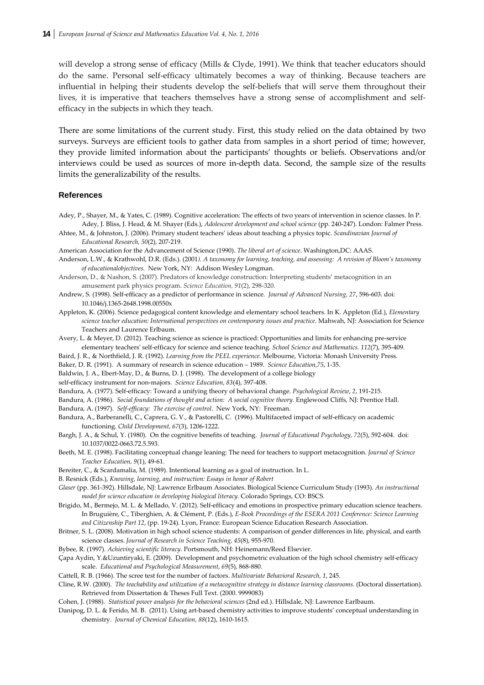will develop a strong sense of efficacy (Mills & Clyde, 1991). We think that teacher educators should do the same. Personal self‐efficacy ultimately becomes a way of thinking. Because teachers are influential in helping their students develop the self‐beliefs that will serve them throughout their lives, it is imperative that teachers themselves have a strong sense of accomplishment and self‐ efficacy in the subjects in which they teach.

There are some limitations of the current study. First, this study relied on the data obtained by two surveys. Surveys are efficient tools to gather data from samples in a short period of time; however, they provide limited information about the participants' thoughts or beliefs. Observations and/or interviews could be used as sources of more in‐depth data. Second, the sample size of the results limits the generalizability of the results.

#### **References**

- Adey, P., Shayer, M., & Yates, C. (1989). Cognitive acceleration: The effects of two years of intervention in science classes. In P. Adey, J. Bliss, J. Head, & M. Shayer (Eds.), *Adolescent development and school science* (pp. 240‐247). London: Falmer Press.
- Ahtee, M., & Johnston, J. (2006). Primary student teachers' ideas about teaching a physics topic. *Scandinavian Journal of Educational Research, 50*(2), 207‐219.
- American Association for the Advancement of Science (1990). *The liberal art of science*. Washington,DC: AAAS.
- Anderson, L.W., & Krathwohl, D.R. (Eds.). (2001). A taxonomy for learning, teaching, and assessing: A revision of Bloom's taxonomy *of educationalobjectives.* New York, NY: Addison Wesley Longman.
- Anderson, D., & Nashon, S. (2007). Predators of knowledge construction: Interpreting students' metacognition in an amusement park physics program. *Science Education, 91*(2), 298‐320.
- Andrew, S. (1998). Self‐efficacy as a predictor of performance in science. *Journal of Advanced Nursing, 27*, 596‐603. doi: 10.1046/j.1365‐2648.1998.00550x
- Appleton, K. (2006). Science pedagogical content knowledge and elementary school teachers. In K. Appleton (Ed.), *Elementary science teacher education: International perspectives on contemporary issues and practice*. Mahwah, NJ: Association for Science Teachers and Laurence Erlbaum.
- Avery, L. & Meyer, D. (2012). Teaching science as science is practiced: Opportunities and limits for enhancing pre‐service elementary teachersʹ self‐efficacy for science and science teaching. *School Science and Mathematics. 112*(7), 395‐409.
- Baird, J. R., & Northfield, J. R. (1992). *Learning from the PEEL experience.* Melbourne, Victoria: Monash University Press.
- Baker, D. R. (1991). A summary of research in science education 1989. *Science Education,75*, 1‐35.
- Baldwin, J. A., Ebert-May, D., & Burns, D. J. (1998). The development of a college biology
- self‐efficacy instrument for non‐majors. *Science Education, 83*(4), 397‐408.
- Bandura, A. (1977). Self‐efficacy: Toward a unifying theory of behavioral change. *Psychological Review*, *2*, 191‐215.
- Bandura, A. (1986). *Social foundations of thought and action: A social cognitive theory.* Englewood Cliffs, NJ*:* Prentice Hall.

Bandura, A. (1997). *Self‐efficacy: The exercise of control*. New York, NY: Freeman.

- Bandura, A., Barberanelli, C., Caprera, G. V., & Pastorelli, C. (1996). Multifaceted impact of self‐efficacy on academic functioning. *Child Development, 67*(3), 1206‐1222.
- Bargh, J. A., & Schul, Y. (1980). On the cognitive benefits of teaching. *Journal of Educational Psychology, 72*(5), 592‐604. doi: 10.1037/0022‐0663.72.5.593.
- Beeth, M. E. (1998). Facilitating conceptual change leaning: The need for teachers to support metacognition. *Journal of Science Teacher Education, 9*(1), 49‐61.
- Bereiter, C., & Scardamalia, M. (1989). Intentional learning as a goal of instruction. In L.
- B. Resnick (Eds.), *Knowing, learning, and instruction: Essays in honor of Robert*
- *Glaser* (pp. 361‐392). Hillsdale, NJ: Lawrence Erlbaum Associates. Biological Science Curriculum Study (1993). *An instructional model for science education in developing biological literacy.* Colorado Springs, CO: BSCS.
- Brigido, M., Bermejo, M. L. & Mellado, V. (2012). Self‐efficacy and emotions in prospective primary education science teachers. In Bruguière, C., Tiberghien, A. & Clément, P. (Eds.), *E‐Book Proceedings of the ESERA 2011 Conference: Science Learning and Citizenship Part 12*, (pp. 19‐24). Lyon, France: European Science Education Research Association.
- Britner, S. L. (2008). Motivation in high school science students: A comparison of gender differences in life, physical, and earth science classes. *Journal of Research in Science Teaching, 45*(8), 955‐970.
- Bybee, R. (1997). *Achieving scientific literacy*. Portsmouth, NH: Heinemann/Reed Elsevier.
- Çapa Aydin, Y.&Uzuntiryaki, E. (2009). Development and psychometric evaluation of the high school chemistry self‐efficacy scale. *Educational and Psychological Measurement*, *69*(5), 868‐880.
- Cattell, R. B. (1966). The scree test for the number of factors. *Multivariate Behavioral Research, 1*, 245.
- Cline, R.W. (2000). *The teachability and utilization of a metacognitive strategy in distance learning classrooms*. (Doctoral dissertation). Retrieved from Dissertation & Theses Full Text. (2000. 9999083)
- Cohen, J. (1988). *Statistical power analysis for the behavioral sciences* (2nd ed.). Hillsdale, NJ: Lawrence Earlbaum.
- Danipog, D. L. & Ferido, M. B. (2011). Using art‐based chemistry activities to improve students' conceptual understanding in chemistry. *Journal of Chemical Education, 88*(12), 1610‐1615.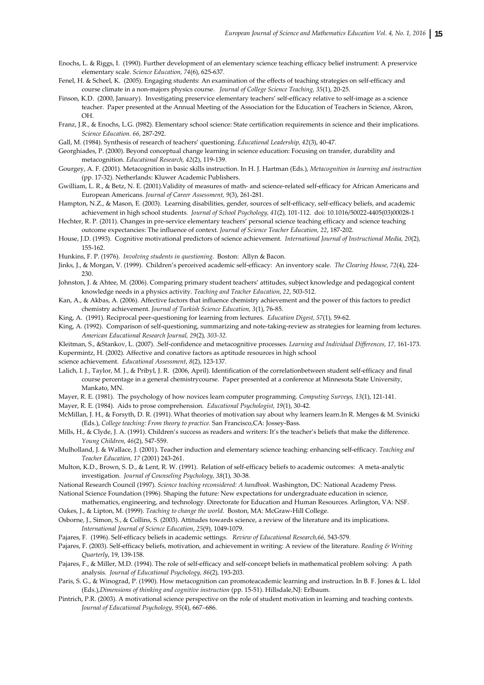Enochs, L. & Riggs, I. (1990). Further development of an elementary science teaching efficacy belief instrument: A preservice elementary scale. *Science Education, 74*(6), 625‐637.

- Fenel, H. & Scheel, K. (2005). Engaging students: An examination of the effects of teaching strategies on self‐efficacy and course climate in a non‐majors physics course. *Journal of College Science Teaching, 35*(1), 20‐25.
- Finson, K.D. (2000, January). Investigating preservice elementary teachers' self-efficacy relative to self-image as a science teacher. Paper presented at the Annual Meeting of the Association for the Education of Teachers in Science, Akron, OH.
- Franz, J.R., & Enochs, L.G. (l982). Elementary school science: State certification requirements in science and their implications. *Science Education. 66,* 287‐292.
- Gall, M. (1984). Synthesis of research of teachers' questioning. *Educational Leadership, 42*(3), 40‐47.

Georghiades, P. (2000). Beyond conceptual change learning in science education: Focusing on transfer, durability and metacognition. *Educational Research, 42*(2), 119‐139.

Gourgey, A. F. (2001). Metacognition in basic skills instruction. In H. J. Hartman (Eds.), *Metacognition in learning and instruction* (pp. 17‐32). Netherlands: Kluwer Academic Publishers.

- Gwilliam, L. R., & Betz, N. E. (2001).Validity of measures of math- and science-related self-efficacy for African Americans and European Americans. *Journal of Career Assessment, 9*(3), 261‐281.
- Hampton, N.Z., & Mason, E. (2003). Learning disabilities, gender, sources of self‐efficacy, self‐efficacy beliefs, and academic achievement in high school students*. Journal of School Psychology, 41*(2)*,* 101‐112. doi: 10.1016/50022‐4405(03)00028‐1
- Hechter, R. P. (2011). Changes in pre-service elementary teachers' personal science teaching efficacy and science teaching outcome expectancies: The influence of context*. Journal of Science Teacher Education, 22*, 187‐202.
- House, J.D. (1993). Cognitive motivational predictors of science achievement. *International Journal of Instructional Media, 20*(2)*,* 155‐162.
- Hunkins, F. P. (1976). *Involving students in questioning*. Boston: Allyn & Bacon.
- Jinks, J., & Morgan, V. (1999). Children's perceived academic self‐efficacy: An inventory scale. *The Clearing House, 72*(4), 224‐ 230.
- Johnston, J. & Ahtee, M. (2006). Comparing primary student teachers' attitudes, subject knowledge and pedagogical content knowledge needs in a physics activity. *Teaching and Teacher Education*, *22*, 503‐512.

Kan, A., & Akbas, A. (2006). Affective factors that influence chemistry achievement and the power of this factors to predict chemistry achievement. *Journal of Turkish Science Education, 3*(1), 76‐85.

- King, A. (1991). Reciprocal peer‐questioning for learning from lectures. *Education Digest, 57*(1)*,* 59‐62.
- King, A. (1992). Comparison of self-questioning, summarizing and note-taking-review as strategies for learning from lectures. *American Educational Research Journal, 29*(2)*, 303‐32.*

Kleitman, S., &Stankov, L. (2007). .Self‐confidence and metacognitive processes. *Learning and Individual Differences, 17,* 161‐173. Kupermintz, H. (2002). Affective and conative factors as aptitude resources in high school

science achievement. *Educational Assessment*, *8*(2), 123‐137.

Lalich, I. J., Taylor, M. J., & Pribyl, J. R. (2006, April). Identification of the correlationbetween student self-efficacy and final course percentage in a general chemistrycourse. Paper presented at a conference at Minnesota State University, Mankato, MN.

Mayer, R. E. (1981). The psychology of how novices learn computer programming. *Computing Surveys, 13*(1), 121‐141.

Mayer, R. E. (1984). Aids to prose comprehension. *Educational Psychologist, 19*(1), 30‐42.

McMillan, J. H., & Forsyth, D. R. (1991). What theories of motivation say about why learners learn.In R. Menges & M. Svinicki (Eds.), *College teaching: From theory to practice.* San Francisco,CA: Jossey‐Bass.

- Mills, H., & Clyde, J. A. (1991). Children's success as readers and writers: It's the teacher's beliefs that make the difference. *Young Children, 46*(2), 547‐559.
- Mulholland, J. & Wallace, J. (2001). Teacher induction and elementary science teaching: enhancing self‐efficacy. *Teaching and Teacher Education, 17* (2001) 243‐261.
- Multon, K.D., Brown, S. D., & Lent, R. W. (1991). Relation of self-efficacy beliefs to academic outcomes: A meta-analytic investigation. *Journal of Counseling Psychology, 38*(1)*,* 30‐38.
- National Research Council (1997). *Science teaching reconsidered: A handbook*. Washington, DC: National Academy Press. National Science Foundation (1996). Shaping the future: New expectations for undergraduate education in science,
- mathematics, engineering, and technology. Directorate for Education and Human Resources. Arlington, VA: NSF. Oakes, J., & Lipton, M. (1999). *Teaching to change the world*. Boston, MA: McGraw‐Hill College.
- Osborne, J., Simon, S., & Collins, S. (2003). Attitudes towards science, a review of the literature and its implications. *International Journal of Science Education*, *25*(9), 1049‐1079.
- Pajares, F. (1996). Self‐efficacy beliefs in academic settings. *Review of Educational Research,66,* 543‐579.
- Pajares, F. (2003). Self‐efficacy beliefs, motivation, and achievement in writing: A review of the literature. *Reading & Writing Quarterly*, 19, 139‐158.
- Pajares, F., & Miller, M.D. (1994). The role of self‐efficacy and self‐concept beliefs in mathematical problem solving: A path analysis. *Journal of Educational Psychology, 86*(2)*,* 193‐203.
- Paris, S. G., & Winograd, P. (1990). How metacognition can promoteacademic learning and instruction. In B. F. Jones & L. Idol (Eds.),*Dimensions of thinking and cognitive instruction* (pp. 15‐51). Hillsdale,NJ: Erlbaum.
- Pintrich, P.R. (2003). A motivational science perspective on the role of student motivation in learning and teaching contexts. *Journal of Educational Psychology, 95*(4), 667–686.